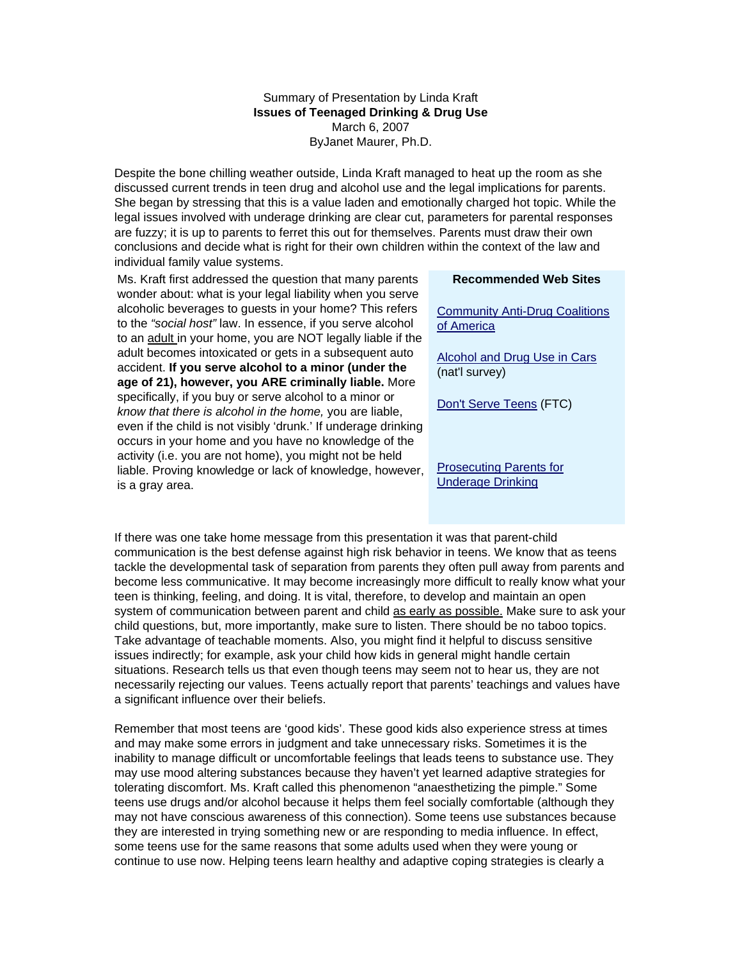Summary of Presentation by Linda Kraft **Issues of Teenaged Drinking & Drug Use**  March 6, 2007 ByJanet Maurer, Ph.D.

Despite the bone chilling weather outside, Linda Kraft managed to heat up the room as she discussed current trends in teen drug and alcohol use and the legal implications for parents. She began by stressing that this is a value laden and emotionally charged hot topic. While the legal issues involved with underage drinking are clear cut, parameters for parental responses are fuzzy; it is up to parents to ferret this out for themselves. Parents must draw their own conclusions and decide what is right for their own children within the context of the law and individual family value systems.

Ms. Kraft first addressed the question that many parents wonder about: what is your legal liability when you serve alcoholic beverages to guests in your home? This refers to the *"social host"* law. In essence, if you serve alcohol to an adult in your home, you are NOT legally liable if the adult becomes intoxicated or gets in a subsequent auto accident. **If you serve alcohol to a minor (under the age of 21), however, you ARE criminally liable.** More specifically, if you buy or serve alcohol to a minor or *know that there is alcohol in the home,* you are liable, even if the child is not visibly 'drunk.' If underage drinking occurs in your home and you have no knowledge of the activity (i.e. you are not home), you might not be held liable. Proving knowledge or lack of knowledge, however, is a gray area.

## **Recommended Web Sites**

Community Anti-Drug Coalitions of America

Alcohol and Drug Use in Cars (nat'l survey)

Don't Serve Teens (FTC)

Prosecuting Parents for Underage Drinking

If there was one take home message from this presentation it was that parent-child communication is the best defense against high risk behavior in teens. We know that as teens tackle the developmental task of separation from parents they often pull away from parents and become less communicative. It may become increasingly more difficult to really know what your teen is thinking, feeling, and doing. It is vital, therefore, to develop and maintain an open system of communication between parent and child as early as possible. Make sure to ask your child questions, but, more importantly, make sure to listen. There should be no taboo topics. Take advantage of teachable moments. Also, you might find it helpful to discuss sensitive issues indirectly; for example, ask your child how kids in general might handle certain situations. Research tells us that even though teens may seem not to hear us, they are not necessarily rejecting our values. Teens actually report that parents' teachings and values have a significant influence over their beliefs.

Remember that most teens are 'good kids'. These good kids also experience stress at times and may make some errors in judgment and take unnecessary risks. Sometimes it is the inability to manage difficult or uncomfortable feelings that leads teens to substance use. They may use mood altering substances because they haven't yet learned adaptive strategies for tolerating discomfort. Ms. Kraft called this phenomenon "anaesthetizing the pimple." Some teens use drugs and/or alcohol because it helps them feel socially comfortable (although they may not have conscious awareness of this connection). Some teens use substances because they are interested in trying something new or are responding to media influence. In effect, some teens use for the same reasons that some adults used when they were young or continue to use now. Helping teens learn healthy and adaptive coping strategies is clearly a